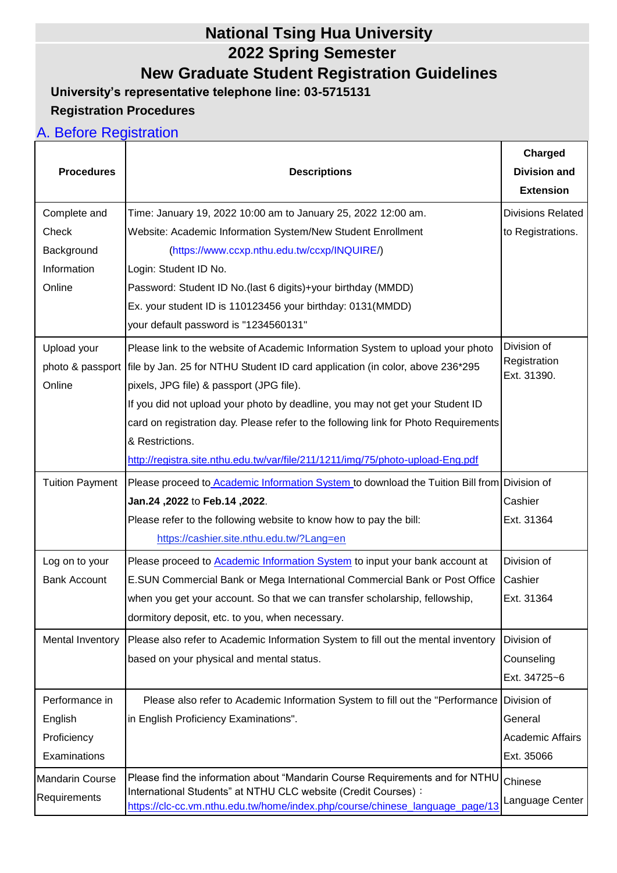## **National Tsing Hua University 2022 Spring Semester New Graduate Student Registration Guidelines**

**University's representative telephone line: 03-5715131**

### **Registration Procedures**

### A. Before Registration

|                        |                                                                                                                                                | Charged                     |
|------------------------|------------------------------------------------------------------------------------------------------------------------------------------------|-----------------------------|
| <b>Procedures</b>      | <b>Descriptions</b>                                                                                                                            | <b>Division and</b>         |
|                        |                                                                                                                                                | <b>Extension</b>            |
| Complete and           | Time: January 19, 2022 10:00 am to January 25, 2022 12:00 am.                                                                                  | <b>Divisions Related</b>    |
| Check                  | Website: Academic Information System/New Student Enrollment                                                                                    | to Registrations.           |
| Background             | (https://www.ccxp.nthu.edu.tw/ccxp/INQUIRE/)                                                                                                   |                             |
| Information            | Login: Student ID No.                                                                                                                          |                             |
| Online                 | Password: Student ID No.(last 6 digits)+your birthday (MMDD)                                                                                   |                             |
|                        | Ex. your student ID is 110123456 your birthday: 0131(MMDD)                                                                                     |                             |
|                        | your default password is "1234560131"                                                                                                          |                             |
| Upload your            | Please link to the website of Academic Information System to upload your photo                                                                 | Division of                 |
|                        | photo & passport file by Jan. 25 for NTHU Student ID card application (in color, above 236*295                                                 | Registration<br>Ext. 31390. |
| Online                 | pixels, JPG file) & passport (JPG file).                                                                                                       |                             |
|                        | If you did not upload your photo by deadline, you may not get your Student ID                                                                  |                             |
|                        | card on registration day. Please refer to the following link for Photo Requirements                                                            |                             |
|                        | & Restrictions.                                                                                                                                |                             |
|                        | http://registra.site.nthu.edu.tw/var/file/211/1211/img/75/photo-upload-Eng.pdf                                                                 |                             |
| <b>Tuition Payment</b> | Please proceed to Academic Information System to download the Tuition Bill from Division of                                                    |                             |
|                        | Jan.24, 2022 to Feb.14, 2022.                                                                                                                  | Cashier                     |
|                        | Please refer to the following website to know how to pay the bill:                                                                             | Ext. 31364                  |
|                        | https://cashier.site.nthu.edu.tw/?Lang=en                                                                                                      |                             |
| Log on to your         | Please proceed to Academic Information System to input your bank account at                                                                    | Division of                 |
| <b>Bank Account</b>    | E.SUN Commercial Bank or Mega International Commercial Bank or Post Office                                                                     | Cashier                     |
|                        | when you get your account. So that we can transfer scholarship, fellowship,                                                                    | Ext. 31364                  |
|                        | dormitory deposit, etc. to you, when necessary.                                                                                                |                             |
| Mental Inventory       | Please also refer to Academic Information System to fill out the mental inventory                                                              | Division of                 |
|                        | based on your physical and mental status.                                                                                                      | Counseling                  |
|                        |                                                                                                                                                | Ext. 34725~6                |
| Performance in         | Please also refer to Academic Information System to fill out the "Performance                                                                  | Division of                 |
| English                | in English Proficiency Examinations".                                                                                                          | General                     |
| Proficiency            |                                                                                                                                                | <b>Academic Affairs</b>     |
| Examinations           |                                                                                                                                                | Ext. 35066                  |
| <b>Mandarin Course</b> | Please find the information about "Mandarin Course Requirements and for NTHU                                                                   | Chinese                     |
| Requirements           | International Students" at NTHU CLC website (Credit Courses) :<br>https://clc-cc.vm.nthu.edu.tw/home/index.php/course/chinese_language_page/13 | Language Center             |
|                        |                                                                                                                                                |                             |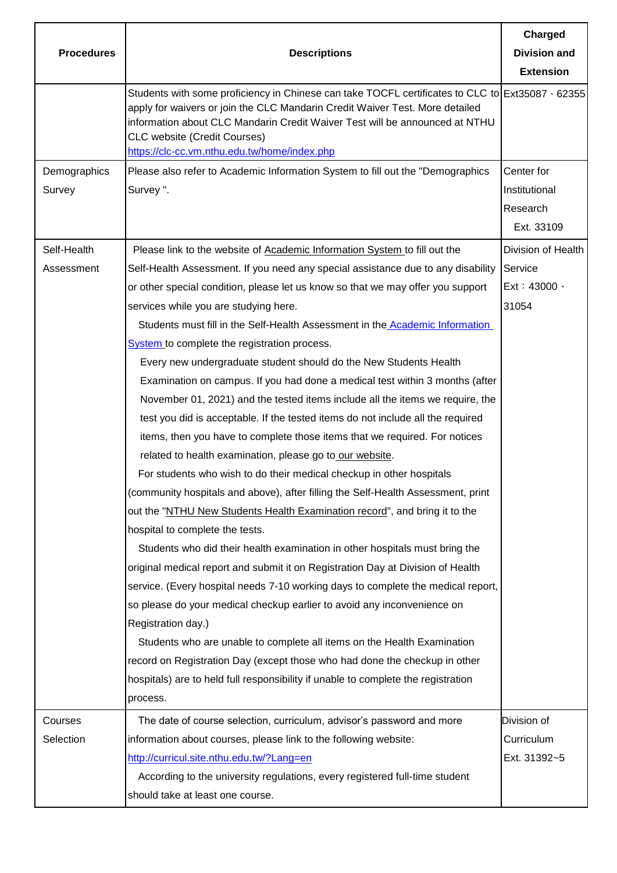|                   |                                                                                                                                                                                                                                                                                                                                                              | Charged             |
|-------------------|--------------------------------------------------------------------------------------------------------------------------------------------------------------------------------------------------------------------------------------------------------------------------------------------------------------------------------------------------------------|---------------------|
| <b>Procedures</b> | <b>Descriptions</b>                                                                                                                                                                                                                                                                                                                                          | <b>Division and</b> |
|                   |                                                                                                                                                                                                                                                                                                                                                              | <b>Extension</b>    |
|                   | Students with some proficiency in Chinese can take TOCFL certificates to CLC to Ext35087 $\cdot$ 62355<br>apply for waivers or join the CLC Mandarin Credit Waiver Test. More detailed<br>information about CLC Mandarin Credit Waiver Test will be announced at NTHU<br><b>CLC website (Credit Courses)</b><br>https://clc-cc.vm.nthu.edu.tw/home/index.php |                     |
| Demographics      | Please also refer to Academic Information System to fill out the "Demographics                                                                                                                                                                                                                                                                               | Center for          |
| Survey            | Survey".                                                                                                                                                                                                                                                                                                                                                     | Institutional       |
|                   |                                                                                                                                                                                                                                                                                                                                                              | Research            |
|                   |                                                                                                                                                                                                                                                                                                                                                              | Ext. 33109          |
| Self-Health       | Please link to the website of Academic Information System to fill out the                                                                                                                                                                                                                                                                                    | Division of Health  |
| Assessment        | Self-Health Assessment. If you need any special assistance due to any disability                                                                                                                                                                                                                                                                             | Service             |
|                   | or other special condition, please let us know so that we may offer you support                                                                                                                                                                                                                                                                              | Ext: 43000.         |
|                   | services while you are studying here.                                                                                                                                                                                                                                                                                                                        | 31054               |
|                   | Students must fill in the Self-Health Assessment in the <b>Academic Information</b>                                                                                                                                                                                                                                                                          |                     |
|                   | System to complete the registration process.                                                                                                                                                                                                                                                                                                                 |                     |
|                   | Every new undergraduate student should do the New Students Health                                                                                                                                                                                                                                                                                            |                     |
|                   | Examination on campus. If you had done a medical test within 3 months (after                                                                                                                                                                                                                                                                                 |                     |
|                   | November 01, 2021) and the tested items include all the items we require, the                                                                                                                                                                                                                                                                                |                     |
|                   | test you did is acceptable. If the tested items do not include all the required                                                                                                                                                                                                                                                                              |                     |
|                   | items, then you have to complete those items that we required. For notices                                                                                                                                                                                                                                                                                   |                     |
|                   | related to health examination, please go to our website.                                                                                                                                                                                                                                                                                                     |                     |
|                   | For students who wish to do their medical checkup in other hospitals                                                                                                                                                                                                                                                                                         |                     |
|                   | (community hospitals and above), after filling the Self-Health Assessment, print                                                                                                                                                                                                                                                                             |                     |
|                   | out the "NTHU New Students Health Examination record", and bring it to the                                                                                                                                                                                                                                                                                   |                     |
|                   | hospital to complete the tests.                                                                                                                                                                                                                                                                                                                              |                     |
|                   | Students who did their health examination in other hospitals must bring the                                                                                                                                                                                                                                                                                  |                     |
|                   | original medical report and submit it on Registration Day at Division of Health                                                                                                                                                                                                                                                                              |                     |
|                   | service. (Every hospital needs 7-10 working days to complete the medical report,                                                                                                                                                                                                                                                                             |                     |
|                   | so please do your medical checkup earlier to avoid any inconvenience on                                                                                                                                                                                                                                                                                      |                     |
|                   | Registration day.)                                                                                                                                                                                                                                                                                                                                           |                     |
|                   | Students who are unable to complete all items on the Health Examination                                                                                                                                                                                                                                                                                      |                     |
|                   | record on Registration Day (except those who had done the checkup in other                                                                                                                                                                                                                                                                                   |                     |
|                   | hospitals) are to held full responsibility if unable to complete the registration                                                                                                                                                                                                                                                                            |                     |
|                   | process.                                                                                                                                                                                                                                                                                                                                                     |                     |
| Courses           | The date of course selection, curriculum, advisor's password and more                                                                                                                                                                                                                                                                                        | Division of         |
| Selection         | information about courses, please link to the following website:                                                                                                                                                                                                                                                                                             | Curriculum          |
|                   | http://curricul.site.nthu.edu.tw/?Lang=en                                                                                                                                                                                                                                                                                                                    | Ext. 31392~5        |
|                   | According to the university regulations, every registered full-time student                                                                                                                                                                                                                                                                                  |                     |
|                   | should take at least one course.                                                                                                                                                                                                                                                                                                                             |                     |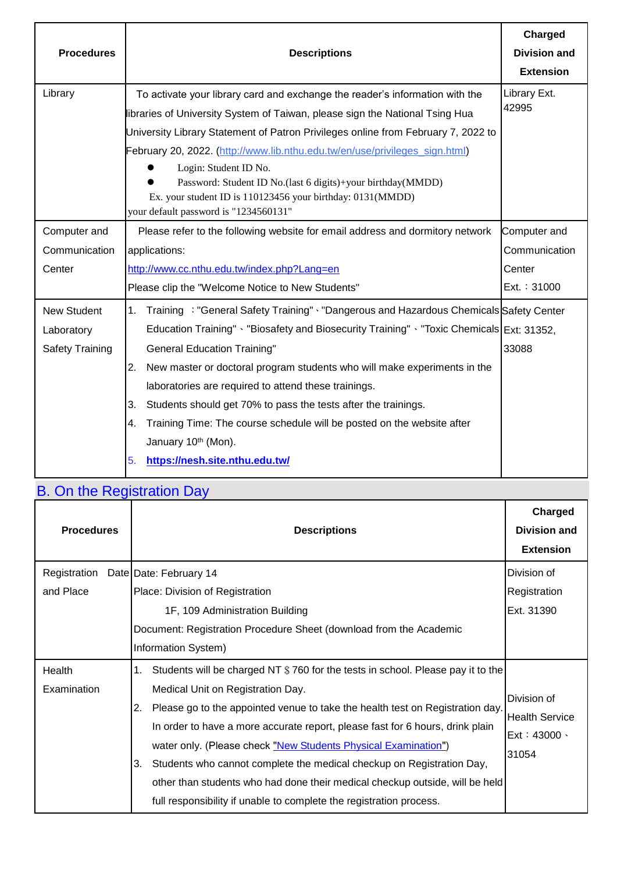| <b>Procedures</b>      | <b>Descriptions</b>                                                                           | Charged<br><b>Division and</b> |
|------------------------|-----------------------------------------------------------------------------------------------|--------------------------------|
|                        |                                                                                               | <b>Extension</b>               |
| Library                | To activate your library card and exchange the reader's information with the                  | Library Ext.                   |
|                        | libraries of University System of Taiwan, please sign the National Tsing Hua                  | 42995                          |
|                        | University Library Statement of Patron Privileges online from February 7, 2022 to             |                                |
|                        | February 20, 2022. (http://www.lib.nthu.edu.tw/en/use/privileges_sign.html)                   |                                |
|                        | Login: Student ID No.                                                                         |                                |
|                        | Password: Student ID No.(last 6 digits)+your birthday(MMDD)                                   |                                |
|                        | Ex. your student ID is 110123456 your birthday: 0131(MMDD)                                    |                                |
|                        | your default password is "1234560131"                                                         |                                |
| Computer and           | Please refer to the following website for email address and dormitory network                 | Computer and                   |
| Communication          | applications:                                                                                 | Communication                  |
| Center                 | http://www.cc.nthu.edu.tw/index.php?Lang=en                                                   | Center                         |
|                        | Please clip the "Welcome Notice to New Students"                                              | Ext.: 31000                    |
| <b>New Student</b>     | Training : "General Safety Training" · "Dangerous and Hazardous Chemicals Safety Center<br>1. |                                |
| Laboratory             | Education Training" · "Biosafety and Biosecurity Training" · "Toxic Chemicals Ext: 31352,     |                                |
| <b>Safety Training</b> | <b>General Education Training"</b>                                                            | 33088                          |
|                        | New master or doctoral program students who will make experiments in the<br>2.                |                                |
|                        | laboratories are required to attend these trainings.                                          |                                |
|                        | Students should get 70% to pass the tests after the trainings.<br>3.                          |                                |
|                        | Training Time: The course schedule will be posted on the website after<br>4.                  |                                |
|                        | January 10th (Mon).                                                                           |                                |
|                        | https://nesh.site.nthu.edu.tw/<br>5.                                                          |                                |
|                        |                                                                                               |                                |

## B. On the Registration Day

| <b>Procedures</b>         | <b>Descriptions</b>                                                                                                                                                                                                                                                                                                                                                                                                                                                                                                                                                                                        | Charged<br><b>Division and</b><br><b>Extension</b>              |
|---------------------------|------------------------------------------------------------------------------------------------------------------------------------------------------------------------------------------------------------------------------------------------------------------------------------------------------------------------------------------------------------------------------------------------------------------------------------------------------------------------------------------------------------------------------------------------------------------------------------------------------------|-----------------------------------------------------------------|
| Registration<br>and Place | Date Date: February 14<br>Place: Division of Registration                                                                                                                                                                                                                                                                                                                                                                                                                                                                                                                                                  | Division of<br>Registration                                     |
|                           | 1F, 109 Administration Building<br>Document: Registration Procedure Sheet (download from the Academic<br>Information System)                                                                                                                                                                                                                                                                                                                                                                                                                                                                               | Ext. 31390                                                      |
| Health<br>Examination     | Students will be charged NT \$760 for the tests in school. Please pay it to the<br>1.<br>Medical Unit on Registration Day.<br>Please go to the appointed venue to take the health test on Registration day.<br>2.<br>In order to have a more accurate report, please fast for 6 hours, drink plain<br>water only. (Please check "New Students Physical Examination")<br>Students who cannot complete the medical checkup on Registration Day,<br>3.<br>other than students who had done their medical checkup outside, will be held<br>full responsibility if unable to complete the registration process. | Division of<br><b>Health Service</b><br>$Ext: 43000 -$<br>31054 |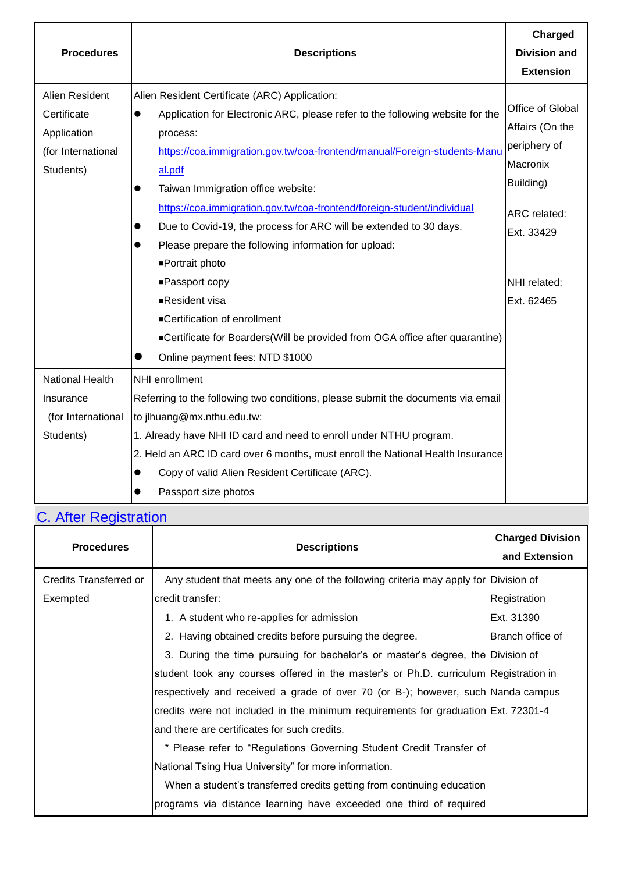| <b>Procedures</b>                                                               | <b>Descriptions</b>                                                                                                                                                                                                                                                                                                                                                                                                                                                                                                  | Charged<br><b>Division and</b><br><b>Extension</b>                                                         |
|---------------------------------------------------------------------------------|----------------------------------------------------------------------------------------------------------------------------------------------------------------------------------------------------------------------------------------------------------------------------------------------------------------------------------------------------------------------------------------------------------------------------------------------------------------------------------------------------------------------|------------------------------------------------------------------------------------------------------------|
| Alien Resident<br>Certificate<br>Application<br>(for International<br>Students) | Alien Resident Certificate (ARC) Application:<br>Application for Electronic ARC, please refer to the following website for the<br>$\bullet$<br>process:<br>https://coa.immigration.gov.tw/coa-frontend/manual/Foreign-students-Manu<br>al.pdf<br>Taiwan Immigration office website:<br>$\bullet$<br>https://coa.immigration.gov.tw/coa-frontend/foreign-student/individual<br>Due to Covid-19, the process for ARC will be extended to 30 days.<br>Please prepare the following information for upload:<br>$\bullet$ | Office of Global<br>Affairs (On the<br>periphery of<br>Macronix<br>Building)<br>ARC related:<br>Ext. 33429 |
|                                                                                 | ■Portrait photo<br>■Passport copy<br>■Resident visa<br>■Certification of enrollment<br>■Certificate for Boarders(Will be provided from OGA office after quarantine)<br>Online payment fees: NTD \$1000                                                                                                                                                                                                                                                                                                               | NHI related:<br>Ext. 62465                                                                                 |
| National Health<br>Insurance<br>(for International<br>Students)                 | NHI enrollment<br>Referring to the following two conditions, please submit the documents via email<br>to jlhuang@mx.nthu.edu.tw:<br>1. Already have NHI ID card and need to enroll under NTHU program.<br>2. Held an ARC ID card over 6 months, must enroll the National Health Insurance<br>Copy of valid Alien Resident Certificate (ARC).<br>$\bullet$<br>Passport size photos                                                                                                                                    |                                                                                                            |

# C. After Registration

| <b>Procedures</b>      | <b>Descriptions</b>                                                                  | <b>Charged Division</b><br>and Extension |
|------------------------|--------------------------------------------------------------------------------------|------------------------------------------|
| Credits Transferred or | Any student that meets any one of the following criteria may apply for Division of   |                                          |
| Exempted               | credit transfer:                                                                     | Registration                             |
|                        | 1. A student who re-applies for admission                                            | Ext. 31390                               |
|                        | 2. Having obtained credits before pursuing the degree.                               | Branch office of                         |
|                        | 3. During the time pursuing for bachelor's or master's degree, the Division of       |                                          |
|                        | student took any courses offered in the master's or Ph.D. curriculum Registration in |                                          |
|                        | respectively and received a grade of over 70 (or B-); however, such Nanda campus     |                                          |
|                        | credits were not included in the minimum requirements for graduation Ext. 72301-4    |                                          |
|                        | and there are certificates for such credits.                                         |                                          |
|                        | * Please refer to "Regulations Governing Student Credit Transfer of                  |                                          |
|                        | National Tsing Hua University" for more information.                                 |                                          |
|                        | When a student's transferred credits getting from continuing education               |                                          |
|                        | programs via distance learning have exceeded one third of required                   |                                          |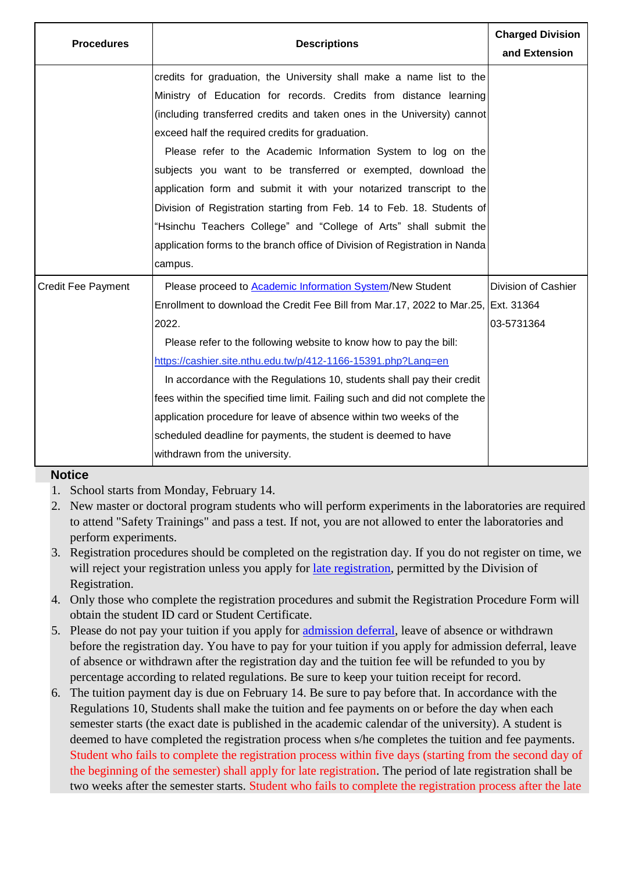| <b>Procedures</b>         | <b>Descriptions</b>                                                                                                                                                                                                                                                                                                                                                                                                                                                                                                                                                                                                                | <b>Charged Division</b><br>and Extension |
|---------------------------|------------------------------------------------------------------------------------------------------------------------------------------------------------------------------------------------------------------------------------------------------------------------------------------------------------------------------------------------------------------------------------------------------------------------------------------------------------------------------------------------------------------------------------------------------------------------------------------------------------------------------------|------------------------------------------|
|                           | credits for graduation, the University shall make a name list to the<br>Ministry of Education for records. Credits from distance learning<br>(including transferred credits and taken ones in the University) cannot<br>exceed half the required credits for graduation.<br>Please refer to the Academic Information System to log on the<br>subjects you want to be transferred or exempted, download the                                                                                                                                                                                                                         |                                          |
|                           | application form and submit it with your notarized transcript to the<br>Division of Registration starting from Feb. 14 to Feb. 18. Students of<br>"Hsinchu Teachers College" and "College of Arts" shall submit the<br>application forms to the branch office of Division of Registration in Nanda<br>campus.                                                                                                                                                                                                                                                                                                                      |                                          |
| <b>Credit Fee Payment</b> | Please proceed to Academic Information System/New Student<br>Enrollment to download the Credit Fee Bill from Mar.17, 2022 to Mar.25, Ext. 31364<br>2022.<br>Please refer to the following website to know how to pay the bill:<br>https://cashier.site.nthu.edu.tw/p/412-1166-15391.php?Lang=en<br>In accordance with the Regulations 10, students shall pay their credit<br>fees within the specified time limit. Failing such and did not complete the<br>application procedure for leave of absence within two weeks of the<br>scheduled deadline for payments, the student is deemed to have<br>withdrawn from the university. | Division of Cashier<br>03-5731364        |

#### **Notice**

- 1. School starts from Monday, February 14.
- 2. New master or doctoral program students who will perform experiments in the laboratories are required to attend "Safety Trainings" and pass a test. If not, you are not allowed to enter the laboratories and perform experiments.
- 3. Registration procedures should be completed on the registration day. If you do not register on time, we will reject your registration unless you apply for [late registration,](http://registra.site.nthu.edu.tw/p/412-1211-16206.php?Lang=en) permitted by the Division of Registration.
- 4. Only those who complete the registration procedures and submit the Registration Procedure Form will obtain the student ID card or Student Certificate.
- 5. Please do not pay your tuition if you apply for [admission deferral,](http://registra.site.nthu.edu.tw/p/412-1211-16206.php?Lang=en) leave of absence or withdrawn before the registration day. You have to pay for your tuition if you apply for admission deferral, leave of absence or withdrawn after the registration day and the tuition fee will be refunded to you by percentage according to related regulations. Be sure to keep your tuition receipt for record.
- 6. The tuition payment day is due on February 14. Be sure to pay before that. In accordance with the Regulations 10, Students shall make the tuition and fee payments on or before the day when each semester starts (the exact date is published in the academic calendar of the university). A student is deemed to have completed the registration process when s/he completes the tuition and fee payments. Student who fails to complete the registration process within five days (starting from the second day of the beginning of the semester) shall apply for late registration. The period of late registration shall be two weeks after the semester starts. Student who fails to complete the registration process after the late